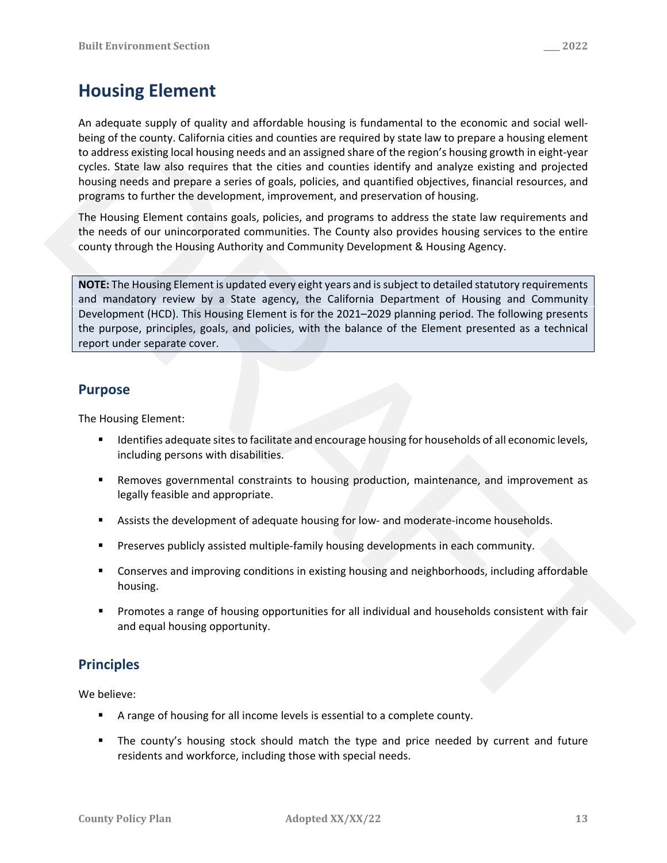# **Housing Element**

An adequate supply of quality and affordable housing is fundamental to the economic and social well‐ being of the county. California cities and counties are required by state law to prepare a housing element to address existing local housing needs and an assigned share of the region's housing growth in eight‐year cycles. State law also requires that the cities and counties identify and analyze existing and projected housing needs and prepare a series of goals, policies, and quantified objectives, financial resources, and programs to further the development, improvement, and preservation of housing.

The Housing Element contains goals, policies, and programs to address the state law requirements and the needs of our unincorporated communities. The County also provides housing services to the entire county through the Housing Authority and Community Development & Housing Agency.

**NOTE:** The Housing Element is updated every eight years and issubject to detailed statutory requirements and mandatory review by a State agency, the California Department of Housing and Community Development (HCD). This Housing Element is for the 2021–2029 planning period. The following presents the purpose, principles, goals, and policies, with the balance of the Element presented as a technical report under separate cover. bend on the county-stational direct and no counterast are fequined by state law to prepare a noting element<br>to uddets establish boostherests in an assigned shared there gives housing growth in eight year<br>of the State law s

# **Purpose**

The Housing Element:

- **IDENTIFIER 19 IDENTIFIELD EXAMPLE 2018 12 IDENTIFIELD FOR EXAMPLE 10** IDENTIFIELD **i** denoting levels, including persons with disabilities.
- **Removes governmental constraints to housing production, maintenance, and improvement as** legally feasible and appropriate.
- Assists the development of adequate housing for low- and moderate-income households.
- Preserves publicly assisted multiple-family housing developments in each community.
- **Conserves and improving conditions in existing housing and neighborhoods, including affordable** housing.
- **Promotes a range of housing opportunities for all individual and households consistent with fair** and equal housing opportunity.

# **Principles**

We believe:

- A range of housing for all income levels is essential to a complete county.
- The county's housing stock should match the type and price needed by current and future residents and workforce, including those with special needs.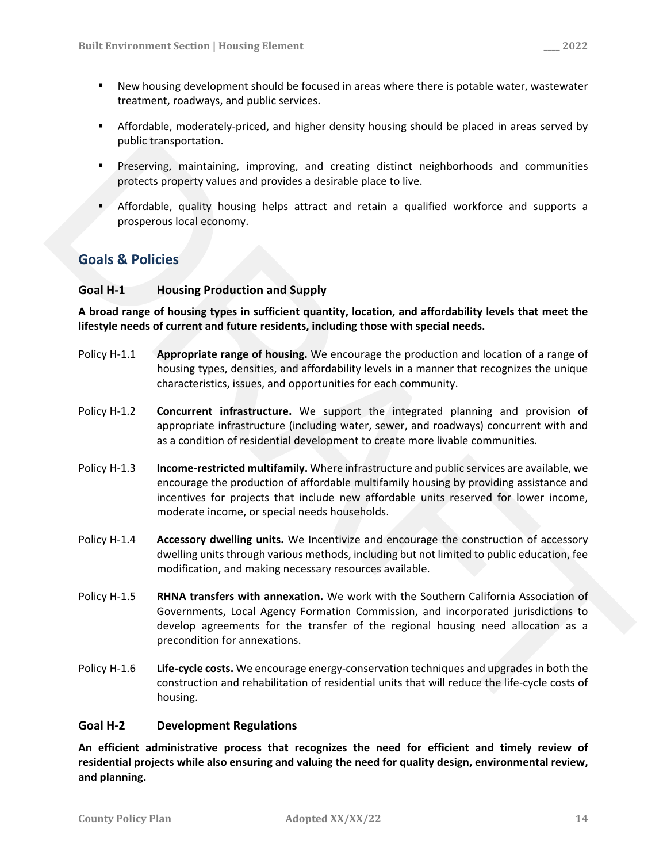- Affordable, moderately-priced, and higher density housing should be placed in areas served by public transportation.
- Preserving, maintaining, improving, and creating distinct neighborhoods and communities protects property values and provides a desirable place to live.
- Affordable, quality housing helps attract and retain a qualified workforce and supports a prosperous local economy.

# **Goals & Policies**

## **Goal H‐1 Housing Production and Supply**

**A broad range of housing types in sufficient quantity, location, and affordability levels that meet the lifestyle needs of current and future residents, including those with special needs.**

- Policy H‐1.1 **Appropriate range of housing.** We encourage the production and location of a range of housing types, densities, and affordability levels in a manner that recognizes the unique characteristics, issues, and opportunities for each community.
- Policy H‐1.2 **Concurrent infrastructure.** We support the integrated planning and provision of appropriate infrastructure (including water, sewer, and roadways) concurrent with and as a condition of residential development to create more livable communities.
- Policy H‐1.3 **Income‐restricted multifamily.** Where infrastructure and public services are available, we encourage the production of affordable multifamily housing by providing assistance and incentives for projects that include new affordable units reserved for lower income, moderate income, or special needs households. public transportation.<br>
Preserving, matriciality, improving, and creating distinct neighborhoods and communities<br>
preserving, matrix in proving, and creating plates to like.<br>
Anfrodobic, quality housing helps attract and r
	- Policy H‐1.4 **Accessory dwelling units.** We Incentivize and encourage the construction of accessory dwelling units through various methods, including but not limited to public education, fee modification, and making necessary resources available.
	- Policy H‐1.5 **RHNA transfers with annexation.** We work with the Southern California Association of Governments, Local Agency Formation Commission, and incorporated jurisdictions to develop agreements for the transfer of the regional housing need allocation as a precondition for annexations.
	- Policy H‐1.6 **Life‐cycle costs.** We encourage energy‐conservation techniques and upgrades in both the construction and rehabilitation of residential units that will reduce the life‐cycle costs of housing.

## **Goal H‐2 Development Regulations**

**An efficient administrative process that recognizes the need for efficient and timely review of residential projects while also ensuring and valuing the need for quality design, environmental review, and planning.**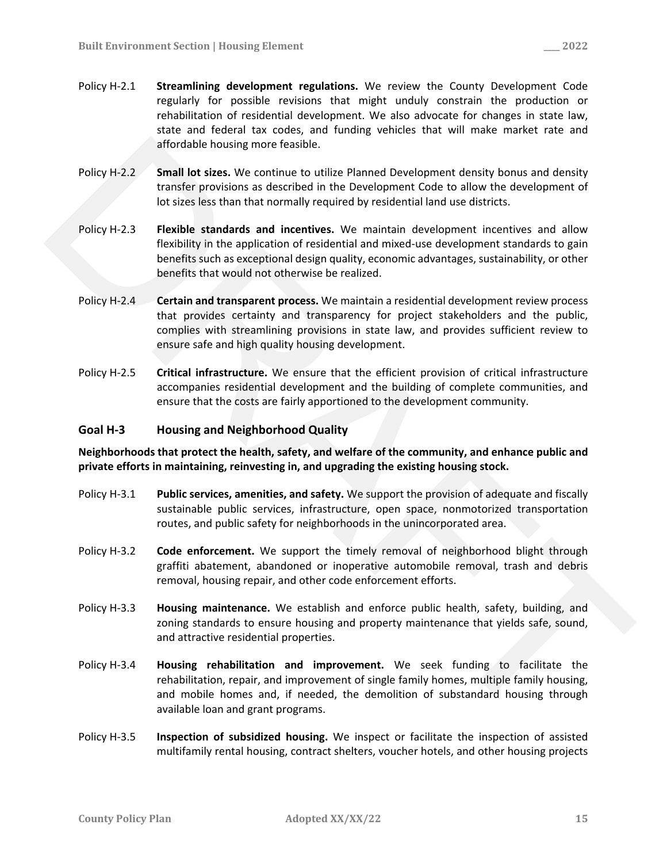- Policy H‐2.1 **Streamlining development regulations.** We review the County Development Code regularly for possible revisions that might unduly constrain the production or rehabilitation of residential development. We also advocate for changes in state law, state and federal tax codes, and funding vehicles that will make market rate and affordable housing more feasible.
- Policy H‐2.2 **Small lot sizes.** We continue to utilize Planned Development density bonus and density transfer provisions as described in the Development Code to allow the development of lot sizes less than that normally required by residential land use districts.
- Policy H‐2.3 **Flexible standards and incentives.** We maintain development incentives and allow flexibility in the application of residential and mixed‐use development standards to gain benefits such as exceptional design quality, economic advantages, sustainability, or other benefits that would not otherwise be realized. articratish housing more feasible.<br>
Policy H+2.2 Small let sizes. We contrine to utilize Planned Development density bonus and density<br>
transfer provisions as described in the Development Code to allow the development of<br>
	- Policy H‐2.4 **Certain and transparent process.** We maintain a residential development review process that provides certainty and transparency for project stakeholders and the public, complies with streamlining provisions in state law, and provides sufficient review to ensure safe and high quality housing development.
	- Policy H‐2.5 **Critical infrastructure.** We ensure that the efficient provision of critical infrastructure accompanies residential development and the building of complete communities, and ensure that the costs are fairly apportioned to the development community.

### **Goal H‐3 Housing and Neighborhood Quality**

**Neighborhoods that protect the health, safety, and welfare of the community, and enhance public and private efforts in maintaining, reinvesting in, and upgrading the existing housing stock.**

- Policy H‐3.1 **Public services, amenities, and safety.** We support the provision of adequate and fiscally sustainable public services, infrastructure, open space, nonmotorized transportation routes, and public safety for neighborhoods in the unincorporated area.
- Policy H‐3.2 **Code enforcement.** We support the timely removal of neighborhood blight through graffiti abatement, abandoned or inoperative automobile removal, trash and debris removal, housing repair, and other code enforcement efforts.
- Policy H‐3.3 **Housing maintenance.** We establish and enforce public health, safety, building, and zoning standards to ensure housing and property maintenance that yields safe, sound, and attractive residential properties.
- Policy H‐3.4 **Housing rehabilitation and improvement.** We seek funding to facilitate the rehabilitation, repair, and improvement of single family homes, multiple family housing, and mobile homes and, if needed, the demolition of substandard housing through available loan and grant programs.
- Policy H‐3.5 **Inspection of subsidized housing.** We inspect or facilitate the inspection of assisted multifamily rental housing, contract shelters, voucher hotels, and other housing projects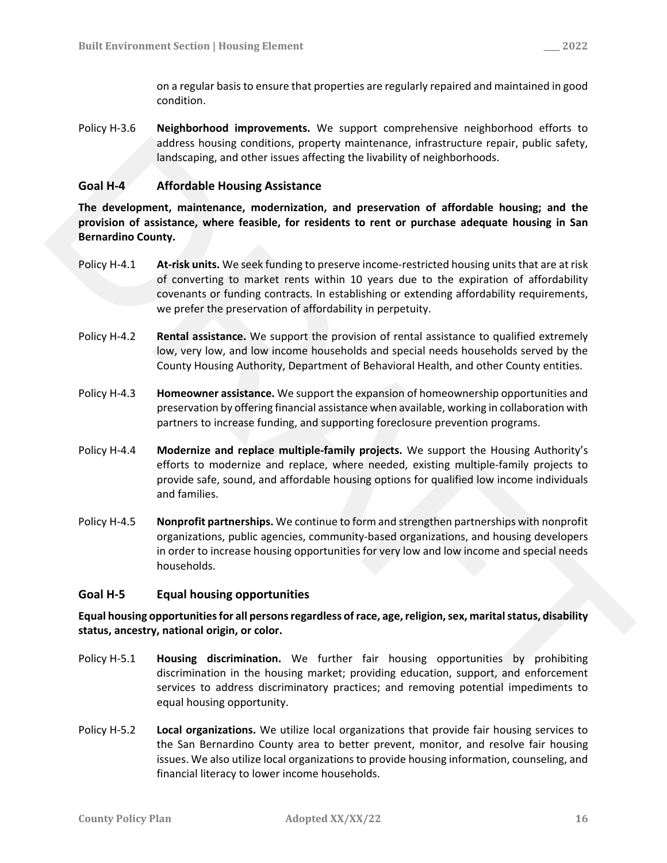on a regular basisto ensure that properties are regularly repaired and maintained in good condition.

Policy H‐3.6 **Neighborhood improvements.** We support comprehensive neighborhood efforts to address housing conditions, property maintenance, infrastructure repair, public safety, landscaping, and other issues affecting the livability of neighborhoods.

## **Goal H‐4 Affordable Housing Assistance**

**The development, maintenance, modernization, and preservation of affordable housing; and the provision of assistance, where feasible, for residents to rent or purchase adequate housing in San Bernardino County.**

- Policy H‐4.1 **At‐risk units.** We seek funding to preserve income‐restricted housing unitsthat are at risk of converting to market rents within 10 years due to the expiration of affordability covenants or funding contracts. In establishing or extending affordability requirements, we prefer the preservation of affordability in perpetuity.
- Policy H‐4.2 **Rental assistance.** We support the provision of rental assistance to qualified extremely low, very low, and low income households and special needs households served by the County Housing Authority, Department of Behavioral Health, and other County entities.
- Policy H‐4.3 **Homeowner assistance.** We support the expansion of homeownership opportunities and preservation by offering financial assistance when available, working in collaboration with partners to increase funding, and supporting foreclosure prevention programs.
- Policy H‐4.4 **Modernize and replace multiple‐family projects.** We support the Housing Authority's efforts to modernize and replace, where needed, existing multiple‐family projects to provide safe, sound, and affordable housing options for qualified low income individuals and families.
- Policy H‐4.5 **Nonprofit partnerships.** We continue to form and strengthen partnerships with nonprofit organizations, public agencies, community‐based organizations, and housing developers in order to increase housing opportunities for very low and low income and special needs households. sidence housing conditions, properly minitenance, informality of neighborhoods.<br> **Goal H-4** Affordable Housing Assistance<br>
The development, maintenance, modernization, and preservation of affordable housing; and the<br>
provi

### **Goal H‐5 Equal housing opportunities**

**Equal housing opportunitiesfor all personsregardless ofrace, age,religion,sex, maritalstatus, disability status, ancestry, national origin, or color.**

- Policy H‐5.1 **Housing discrimination.** We further fair housing opportunities by prohibiting discrimination in the housing market; providing education, support, and enforcement services to address discriminatory practices; and removing potential impediments to equal housing opportunity.
- Policy H‐5.2 **Local organizations.** We utilize local organizations that provide fair housing services to the San Bernardino County area to better prevent, monitor, and resolve fair housing issues. We also utilize local organizations to provide housing information, counseling, and financial literacy to lower income households.